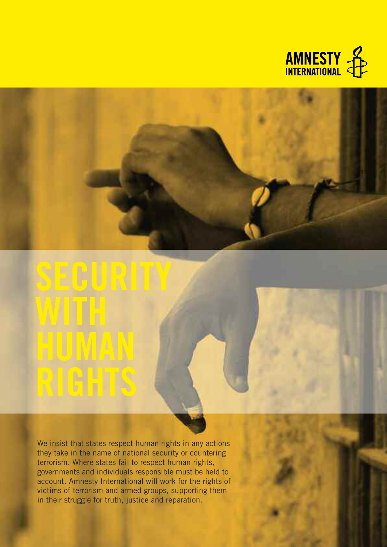



# **with human rights**

We insist that states respect human rights in any actions they take in the name of national security or countering terrorism. Where states fail to respect human rights, governments and individuals responsible must be held to account. Amnesty International will work for the rights of victims of terrorism and armed groups, supporting them in their struggle for truth, justice and reparation.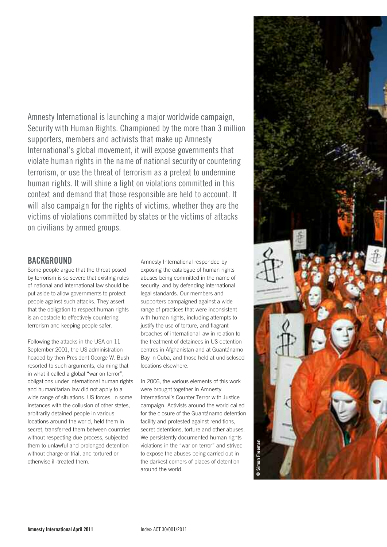Amnesty International is launching a major worldwide campaign, Security with Human Rights. Championed by the more than 3 million supporters, members and activists that make up Amnesty International's global movement, it will expose governments that violate human rights in the name of national security or countering terrorism, or use the threat of terrorism as a pretext to undermine human rights. It will shine a light on violations committed in this context and demand that those responsible are held to account. It will also campaign for the rights of victims, whether they are the victims of violations committed by states or the victims of attacks on civilians by armed groups.

# **BacKgrOunD**

Some people argue that the threat posed by terrorism is so severe that existing rules of national and international law should be put aside to allow governments to protect people against such attacks. They assert that the obligation to respect human rights is an obstacle to effectively countering terrorism and keeping people safer.

Following the attacks in the USA on 11 September 2001, the US administration headed by then President George W. Bush resorted to such arguments, claiming that in what it called a global "war on terror", obligations under international human rights and humanitarian law did not apply to a wide range of situations. US forces, in some instances with the collusion of other states, arbitrarily detained people in various locations around the world, held them in secret, transferred them between countries without respecting due process, subjected them to unlawful and prolonged detention without charge or trial, and tortured or otherwise ill-treated them.

Amnesty International responded by exposing the catalogue of human rights abuses being committed in the name of security, and by defending international legal standards. Our members and supporters campaigned against a wide range of practices that were inconsistent with human rights, including attempts to justify the use of torture, and flagrant breaches of international law in relation to the treatment of detainees in US detention centres in Afghanistan and at Guantánamo Bay in Cuba, and those held at undisclosed locations elsewhere.

In 2006, the various elements of this work were brought together in Amnesty International's Counter Terror with Justice campaign. Activists around the world called for the closure of the Guantánamo detention facility and protested against renditions, secret detentions, torture and other abuses. We persistently documented human rights violations in the "war on terror" and strived to expose the abuses being carried out in the darkest corners of places of detention around the world.

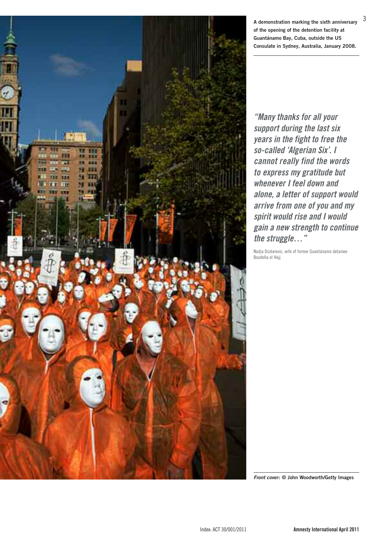

**A demonstration marking the sixth anniversary of the opening of the detention facility at Guantánamo Bay, Cuba, outside the US Consulate in Sydney, Australia, January 2008.**

3

**"Many thanks for all your support during the last six years in the fight to free the so-called 'Algerian Six'. I cannot really find the words to express my gratitude but whenever I feel down and alone, a letter of support would arrive from one of you and my spirit would rise and I would gain a new strength to continue the struggle…"**

Nadja Dizdarevic, wife of former Guantánamo detainee Boudella el Hajj

**Front cover: © John Woodworth/Getty Images**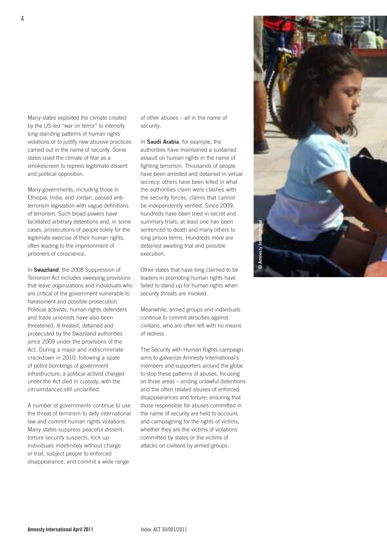Many states exploited the climate created by the US-led "war on terror" to intensify long-standing patterns of human rights violations or to justify new abusive practices carried out in the name of security. Some states used the climate of fear as a smokescreen to repress legitimate dissent and political opposition.

Many governments, including those in Ethiopia, India, and Jordan, passed antiterrorism legislation with vague definitions of terrorism. Such broad powers have facilitated arbitrary detentions and, in some cases, prosecutions of people solely for the legitimate exercise of their human rights, often leading to the imprisonment of prisoners of conscience.

In **Swaziland**, the 2008 Suppression of Terrorism Act includes sweeping provisions that leave organizations and individuals who are critical of the government vulnerable to harassment and possible prosecution. Political activists, human rights defenders and trade unionists have also been threatened, ill-treated, detained and prosecuted by the Swaziland authorities since 2009 under the provisions of the Act. During a major and indiscriminate crackdown in 2010, following a spate of petrol bombings of government infrastructure, a political activist charged under the Act died in custody, with the circumstances still unclarified.

A number of governments continue to use the threat of terrorism to defy international law and commit human rights violations. Many states suppress peaceful dissent, torture security suspects, lock up individuals indefinitely without charge or trial, subject people to enforced disappearance, and commit a wide range

of other abuses – all in the name of security.

In **Saudi Arabia**, for example, the authorities have maintained a sustained assault on human rights in the name of fighting terrorism. Thousands of people have been arrested and detained in virtual secrecy; others have been killed in what the authorities claim were clashes with the security forces, claims that cannot be independently verified. Since 2009, hundreds have been tried in secret and summary trials; at least one has been sentenced to death and many others to long prison terms. Hundreds more are detained awaiting trial and possible execution.

Other states that have long claimed to be leaders in promoting human rights have failed to stand up for human rights when security threats are invoked.

Meanwhile, armed groups and individuals continue to commit atrocities against civilians, who are often left with no means of redress.

The Security with Human Rights campaign aims to galvanize Amnesty International's members and supporters around the globe to stop these patterns of abuses, focusing on three areas – ending unlawful detentions and the often related abuses of enforced disappearances and torture; ensuring that those responsible for abuses committed in the name of security are held to account; and campaigning for the rights of victims, whether they are the victims of violations committed by states or the victims of attacks on civilians by armed groups.

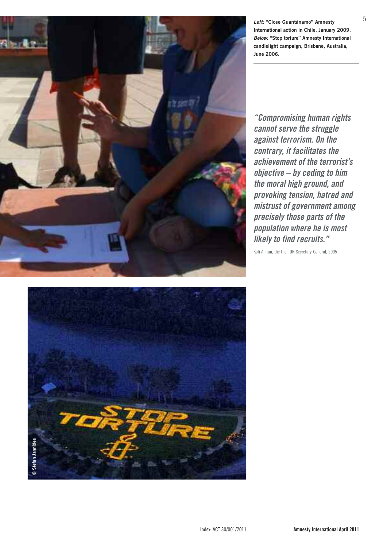

**Left: "Close Guantánamo" Amnesty International action in Chile, January 2009. Below: "Stop torture" Amnesty International candlelight campaign, Brisbane, Australia, June 2006.**

**"Compromising human rights cannot serve the struggle against terrorism. On the contrary, it facilitates the achievement of the terrorist's objective – by ceding to him the moral high ground, and provoking tension, hatred and mistrust of government among precisely those parts of the population where he is most likely to find recruits."**

Kofi Annan, the then UN Secretary-General, 2005

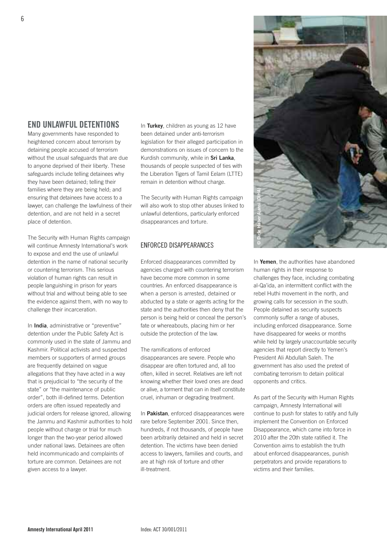# **enD unLawFuL DetentiOns**

Many governments have responded to heightened concern about terrorism by detaining people accused of terrorism without the usual safeguards that are due to anyone deprived of their liberty. These safeguards include telling detainees why they have been detained; telling their families where they are being held; and ensuring that detainees have access to a lawyer, can challenge the lawfulness of their detention, and are not held in a secret place of detention.

The Security with Human Rights campaign will continue Amnesty International's work to expose and end the use of unlawful detention in the name of national security or countering terrorism. This serious violation of human rights can result in people languishing in prison for years without trial and without being able to see the evidence against them, with no way to challenge their incarceration.

In **India**, administrative or "preventive" detention under the Public Safety Act is commonly used in the state of Jammu and Kashmir. Political activists and suspected members or supporters of armed groups are frequently detained on vague allegations that they have acted in a way that is prejudicial to "the security of the state" or "the maintenance of public order", both ill-defined terms. Detention orders are often issued repeatedly and judicial orders for release ignored, allowing the Jammu and Kashmir authorities to hold people without charge or trial for much longer than the two-year period allowed under national laws. Detainees are often held incommunicado and complaints of torture are common. Detainees are not given access to a lawyer.

In **Turkey**, children as young as 12 have been detained under anti-terrorism legislation for their alleged participation in demonstrations on issues of concern to the Kurdish community, while in **Sri Lanka**, thousands of people suspected of ties with the Liberation Tigers of Tamil Eelam (LTTE) remain in detention without charge.

The Security with Human Rights campaign will also work to stop other abuses linked to unlawful detentions, particularly enforced disappearances and torture.

### ENfoRCED DISAppEARANCES

Enforced disappearances committed by agencies charged with countering terrorism have become more common in some countries. An enforced disappearance is when a person is arrested, detained or abducted by a state or agents acting for the state and the authorities then deny that the person is being held or conceal the person's fate or whereabouts, placing him or her outside the protection of the law.

The ramifications of enforced disappearances are severe. People who disappear are often tortured and, all too often, killed in secret. Relatives are left not knowing whether their loved ones are dead or alive, a torment that can in itself constitute cruel, inhuman or degrading treatment.

In **Pakistan**, enforced disappearances were rare before September 2001. Since then, hundreds, if not thousands, of people have been arbitrarily detained and held in secret detention. The victims have been denied access to lawyers, families and courts, and are at high risk of torture and other ill-treatment.



al-Qa'ida, an intermittent conflict with the rebel Huthi movement in the north, and growing calls for secession in the south. People detained as security suspects commonly suffer a range of abuses, including enforced disappearance. Some have disappeared for weeks or months while held by largely unaccountable security agencies that report directly to Yemen's President Ali Abdullah Saleh. The government has also used the pretext of combating terrorism to detain political opponents and critics.

As part of the Security with Human Rights campaign, Amnesty International will continue to push for states to ratify and fully implement the Convention on Enforced Disappearance, which came into force in 2010 after the 20th state ratified it. The Convention aims to establish the truth about enforced disappearances, punish perpetrators and provide reparations to victims and their families.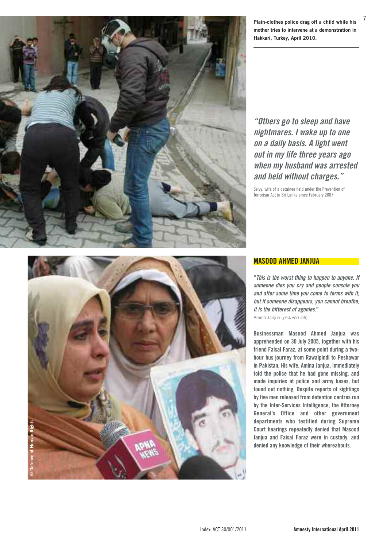

Plain-clothes police drag off a child while his mother tries to intervene at a demonstration in Hakkari, Turkey, April 2010.

"**Others** go to sleep and have **nightmares.** I wake up to one **on a daily basis. A light went o u t in my life th re e ye a rs ago** when my husband was arrested and held without charges.'

Selvy, wife of a detainee held under the Prevention of Terrorism Act in Sri Lanka since February 2007



#### **<u>MASOOD AHMED JANJUA</u>**

"This is the worst thing to happen to anyone. If someone dies you cry and people console you and after some time you come to terms with it, but if someone disappears, you cannot breathe, it is the bitterest of agonies." Amina Janjua (pictured left)

Businessman Masood Ahmed Janjua was apprehended on 30 July 2005, together with his friend Faisal Faraz, at some point during a twohour bus journey from Rawalpindi to Peshawar in Pakistan. His wife, Amina Janjua, immediately told the police that he had gone missing, and made inquiries at police and army bases, but found out nothing. Despite reports of sightings by five men released from detention centres run by the Inter-Services Intelligence, the Attorney General's Office and other government departments who testified during Supreme Court hearings repeatedly denied that Masood Janjua and Faisal Faraz were in custody, and denied any knowledge of their whereabouts.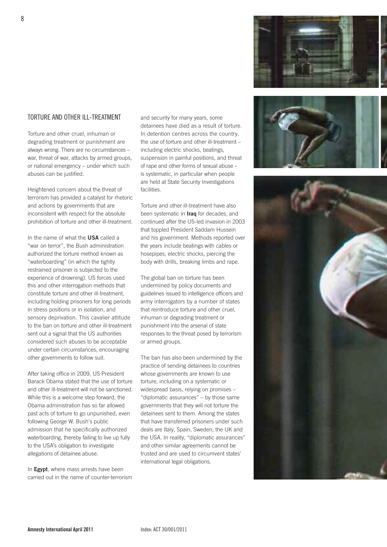#### ToRTURE AND oTHER ILL-TREATmENT

Torture and other cruel, inhuman or degrading treatment or punishment are always wrong. There are no circumstances – war, threat of war, attacks by armed groups, or national emergency – under which such abuses can be justified.

Heightened concern about the threat of terrorism has provided a catalyst for rhetoric and actions by governments that are inconsistent with respect for the absolute prohibition of torture and other ill-treatment.

In the name of what the **USA** called a "war on terror", the Bush administration authorized the torture method known as "waterboarding" (in which the tightly restrained prisoner is subjected to the experience of drowning). US forces used this and other interrogation methods that constitute torture and other ill-treatment, including holding prisoners for long periods in stress positions or in isolation, and sensory deprivation. This cavalier attitude to the ban on torture and other ill-treatment sent out a signal that the US authorities considered such abuses to be acceptable under certain circumstances, encouraging other governments to follow suit.

After taking office in 2009, US President Barack Obama stated that the use of torture and other ill-treatment will not be sanctioned. While this is a welcome step forward, the Obama administration has so far allowed past acts of torture to go unpunished, even following George W. Bush's public admission that he specifically authorized waterboarding, thereby failing to live up fully to the USA's obligation to investigate allegations of detainee abuse.

In **Egypt**, where mass arrests have been carried out in the name of counter-terrorism and security for many years, some detainees have died as a result of torture. In detention centres across the country, the use of torture and other ill-treatment – including electric shocks, beatings, suspension in painful positions, and threat of rape and other forms of sexual abuse – is systematic, in particular when people are held at State Security Investigations facilities.

Torture and other ill-treatment have also been systematic in **Iraq** for decades, and continued after the US-led invasion in 2003 that toppled President Saddam Hussein and his government. Methods reported over the years include beatings with cables or hosepipes, electric shocks, piercing the body with drills, breaking limbs and rape.

The global ban on torture has been undermined by policy documents and guidelines issued to intelligence officers and army interrogators by a number of states that reintroduce torture and other cruel, inhuman or degrading treatment or punishment into the arsenal of state responses to the threat posed by terrorism or armed groups.

The ban has also been undermined by the practice of sending detainees to countries whose governments are known to use torture, including on a systematic or widespread basis, relying on promises – "diplomatic assurances" – by those same governments that they will not torture the detainees sent to them. Among the states that have transferred prisoners under such deals are Italy, Spain, Sweden, the UK and the USA. In reality, "diplomatic assurances" and other similar agreements cannot be trusted and are used to circumvent states' international legal obligations.









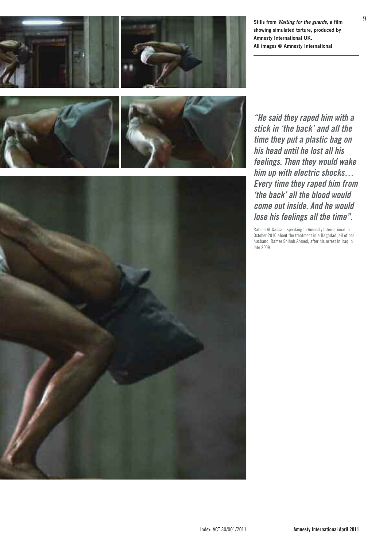



**Stills from Waiting for the guards, a film showing simulated torture, produced by Amnesty International UK. All images © Amnesty International**





**"He said they raped him with a stick in 'the back' and all the time they put a plastic bag on his head until he lost all his feelings. Then they would wake him up with electric shocks… Every time they raped him from 'the back' all the blood would come out inside. And he would lose his feelings all the time".**

Rabiha Al-Qassab, speaking to Amnesty International in october 2010 about the treatment in a Baghdad jail of her husband, Ramze Shihab Ahmed, after his arrest in Iraq in late 2009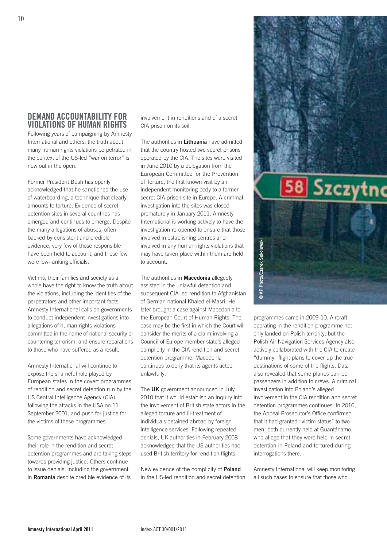# **DemanD accOuntaBiLity FOr ViOLatiOns OF human rights**

Following years of campaigning by Amnesty International and others, the truth about many human rights violations perpetrated in the context of the US-led "war on terror" is now out in the open.

Former President Bush has openly acknowledged that he sanctioned the use of waterboarding, a technique that clearly amounts to torture. Evidence of secret detention sites in several countries has emerged and continues to emerge. Despite the many allegations of abuses, often backed by consistent and credible evidence, very few of those responsible have been held to account, and those few were low-ranking officials.

Victims, their families and society as a whole have the right to know the truth about the violations, including the identities of the perpetrators and other important facts. Amnesty International calls on governments to conduct independent investigations into allegations of human rights violations committed in the name of national security or countering terrorism, and ensure reparations to those who have suffered as a result.

Amnesty International will continue to expose the shameful role played by European states in the covert programmes of rendition and secret detention run by the US Central Intelligence Agency (CIA) following the attacks in the USA on 11 September 2001, and push for justice for the victims of these programmes.

Some governments have acknowledged their role in the rendition and secret detention programmes and are taking steps towards providing justice. Others continue to issue denials, including the government in **Romania** despite credible evidence of its

involvement in renditions and of a secret CIA prison on its soil.

The authorities in **Lithuania** have admitted that the country hosted two secret prisons operated by the CIA. The sites were visited in June 2010 by a delegation from the European Committee for the Prevention of Torture, the first known visit by an independent monitoring body to a former secret CIA prison site in Europe. A criminal investigation into the sites was closed prematurely in January 2011. Amnesty International is working actively to have the investigation re-opened to ensure that those involved in establishing centres and involved in any human rights violations that may have taken place within them are held to account.

The authorities in **Macedonia** allegedly assisted in the unlawful detention and subsequent CIA-led rendition to Afghanistan of German national Khaled el-Masri. He later brought a case against Macedonia to the European Court of Human Rights. The case may be the first in which the Court will consider the merits of a claim involving a Council of Europe member state's alleged complicity in the CIA rendition and secret detention programme. Macedonia continues to deny that its agents acted unlawfully.

The **UK** government announced in July 2010 that it would establish an inquiry into the involvement of British state actors in the alleged torture and ill-treatment of individuals detained abroad by foreign intelligence services. Following repeated denials, UK authorities in February 2008 acknowledged that the US authorities had used British territory for rendition flights.

New evidence of the complicity of **Poland** in the US-led rendition and secret detention



only landed on Polish terrority, but the Polish Air Navigation Services Agency also actively collaborated with the CIA to create "dummy" flight plans to cover up the true destinations of some of the flights. Data also revealed that some planes carried passengers in addition to crews. A criminal investigation into Poland's alleged involvement in the CIA rendition and secret detention programmes continues. In 2010, the Appeal Prosecutor's Office confirmed that it had granted "victim status" to two men, both currently held at Guantánamo, who allege that they were held in secret detention in Poland and tortured during interrogations there.

Amnesty International will keep monitoring all such cases to ensure that those who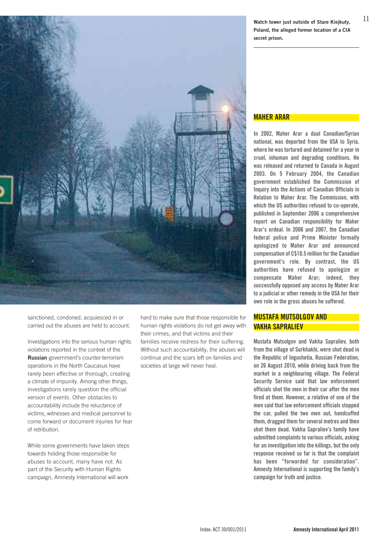

sanctioned, condoned, acquiesced in or carried out the abuses are held to account.

Investigations into the serious human rights violations reported in the context of the **Russian** government's counter-terrorism operations in the North Caucasus have rarely been effective or thorough, creating a climate of impunity. Among other things, investigations rarely question the official version of events. Other obstacles to accountability include the reluctance of victims, witnesses and medical personnel to come forward or document injuries for fear of retribution.

While some governments have taken steps towards holding those responsible for abuses to account, many have not. As part of the Security with Human Rights campaign, Amnesty International will work

hard to make sure that those responsible for human rights violations do not get away with their crimes, and that victims and their families receive redress for their suffering. Without such accountability, the abuses will continue and the scars left on families and societies at large will never heal.

11 **Watch tower just outside of Stare Kiejkuty, Poland, the alleged former location of a CIA secret prison.**

#### **maher arar**

**in 2002, maher arar a dual canadian/syrian national, was deported from the usa to syria, where he wastortured and detained for a year in cruel, inhuman and degrading conditions. he was released and returned to canada in august 2003. On 5 February 2004, the canadian government established the commission of inquiry into the actions of canadian Officials in relation to maher arar. the commission, with which the us authorities refused to co-operate, published in september 2006 a comprehensive report on canadian responsibility for maher arar's ordeal. in 2006 and 2007, the canadian federal police and Prime minister formally apologized to maher arar and announced compensation of c\$10.5 million for the canadian government's role. By contrast, the us authorities have refused to apologize or compensate maher arar; indeed, they successfully opposed any access by maher arar to a judicial or other remedy in the usa for their own role in the gross abuses he suffered.**

#### **mustaFa mutsOLgOV anD VaKha saPraLieV**

**mustafa mutsolgov and Vakha sapraliev, both from the village of surkhakhi, were shot dead in the republic of ingushetia, russian Federation, on 26 august 2010, while driving back from the market in a neighbouring village. the Federal security service said that law enforcement officials shot the men in their car after the men fired at them. however, a relative of one of the men said that law enforcement officials stopped the car, pulled the two men out, handcuffed them, dragged them forseveral metres and then shot them dead. Vakha sapraliev's family have submitted complaintsto various officials, asking for an investigation into the killings, but the only response received so far is that the complaint has been "forwarded for consideration". amnesty international is supporting the family's campaign for truth and justice.**

Index: ACT 30/001/2011 **amnesty international april 2011**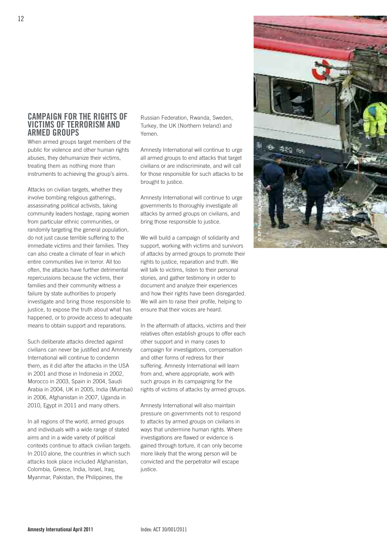## **camPaign FOr the rights OF Victims OF terrOrism anD armeD grOuPs**

When armed groups target members of the public for violence and other human rights abuses, they dehumanize their victims, treating them as nothing more than instruments to achieving the group's aims.

Attacks on civilian targets, whether they involve bombing religious gatherings, assassinating political activists, taking community leaders hostage, raping women from particular ethnic communities, or randomly targeting the general population, do not just cause terrible suffering to the immediate victims and their families. They can also create a climate of fear in which entire communities live in terror. All too often, the attacks have further detrimental repercussions because the victims, their families and their community witness a failure by state authorities to properly investigate and bring those responsible to justice, to expose the truth about what has happened, or to provide access to adequate means to obtain support and reparations.

Such deliberate attacks directed against civilians can never be justified and Amnesty International will continue to condemn them, as it did after the attacks in the USA in 2001 and those in Indonesia in 2002, Morocco in 2003, Spain in 2004, Saudi Arabia in 2004, UK in 2005, India (Mumbai) in 2006, Afghanistan in 2007, Uganda in 2010, Egypt in 2011 and many others.

In all regions of the world, armed groups and individuals with a wide range of stated aims and in a wide variety of political contexts continue to attack civilian targets. In 2010 alone, the countries in which such attacks took place included Afghanistan, Colombia, Greece, India, Israel, Iraq, Myanmar, Pakistan, the Philippines, the

Russian Federation, Rwanda, Sweden, Turkey, the UK (Northern Ireland) and Yemen.

Amnesty International will continue to urge all armed groups to end attacks that target civilians or are indiscriminate, and will call for those responsible for such attacks to be brought to justice.

Amnesty International will continue to urge governments to thoroughly investigate all attacks by armed groups on civilians, and bring those responsible to justice.

We will build a campaign of solidarity and support, working with victims and survivors of attacks by armed groups to promote their rights to justice, reparation and truth. We will talk to victims, listen to their personal stories, and gather testimony in order to document and analyze their experiences and how their rights have been disregarded. We will aim to raise their profile, helping to ensure that their voices are heard.

In the aftermath of attacks, victims and their relatives often establish groups to offer each other support and in many cases to campaign for investigations, compensation and other forms of redress for their suffering. Amnesty International will learn from and, where appropriate, work with such groups in its campaigning for the rights of victims of attacks by armed groups.

Amnesty International will also maintain pressure on governments not to respond to attacks by armed groups on civilians in ways that undermine human rights. Where investigations are flawed or evidence is gained through torture, it can only become more likely that the wrong person will be convicted and the perpetrator will escape justice.

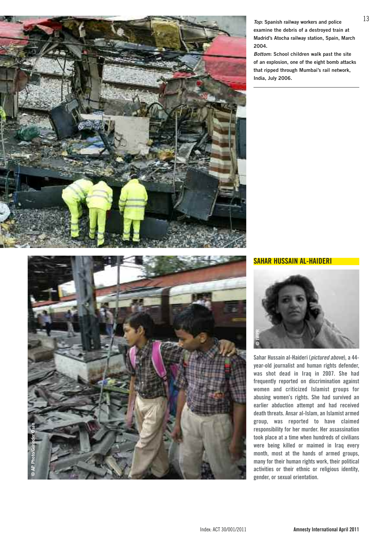

**Top: Spanish railway workers and police examine the debris of a destroyed train at Madrid's Atocha railway station, Spain, March 2004.**

**Bottom: School children walk past the site of an explosion, one of the eight bomb attacks that ripped through Mumbai's rail network, India, July 2006.**



**sahar hussain aL-haiDeri**



**sahar hussain al-haideri (pictured above), a 44 year-old journalist and human rights defender, was shot dead in iraq in 2007. she had frequently reported on discrimination against women and criticized islamist groups for abusing women's rights. she had survived an earlier abduction attempt and had received death threats. ansar al-islam, an islamist armed group, was reported to have claimed responsibility for her murder. her assassination took place at a time when hundreds of civilians were being killed or maimed in iraq every month, most at the hands of armed groups, many for their human rights work, their political activities or their ethnic or religious identity,**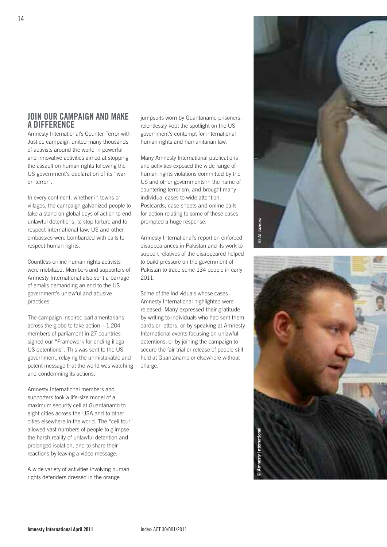# **JOin Our camPaign anD maKe a DiFFerence**

Amnesty International's Counter Terror with Justice campaign united many thousands of activists around the world in powerful and innovative activities aimed at stopping the assault on human rights following the US government's declaration of its "war on terror".

In every continent, whether in towns or villages, the campaign galvanized people to take a stand on global days of action to end unlawful detentions, to stop torture and to respect international law. US and other embassies were bombarded with calls to respect human rights.

Countless online human rights activists were mobilized. Members and supporters of Amnesty International also sent a barrage of emails demanding an end to the US government's unlawful and abusive practices.

The campaign inspired parliamentarians across the globe to take action – 1,204 members of parliament in 27 countries signed our "Framework for ending illegal US detentions". This was sent to the US government, relaying the unmistakable and potent message that the world was watching and condemning its actions.

Amnesty International members and supporters took a life-size model of a maximum security cell at Guantánamo to eight cities across the USA and to other cities elsewhere in the world. The "cell tour" allowed vast numbers of people to glimpse the harsh reality of unlawful detention and prolonged isolation, and to share their reactions by leaving a video message.

A wide variety of activities involving human rights defenders dressed in the orange

jumpsuits worn by Guantánamo prisoners, relentlessly kept the spotlight on the US government's contempt for international human rights and humanitarian law.

Many Amnesty International publications and activities exposed the wide range of human rights violations committed by the US and other governments in the name of countering terrorism, and brought many individual cases to wide attention. Postcards, case sheets and online calls for action relating to some of these cases prompted a huge response.

Amnesty International's report on enforced disappearances in Pakistan and its work to support relatives of the disappeared helped to build pressure on the government of Pakistan to trace some 134 people in early 2011.

Some of the individuals whose cases Amnesty International highlighted were released. Many expressed their gratitude by writing to individuals who had sent them cards or letters, or by speaking at Amnesty International events focusing on unlawful detentions, or by joining the campaign to secure the fair trial or release of people still held at Guantánamo or elsewhere without charge.



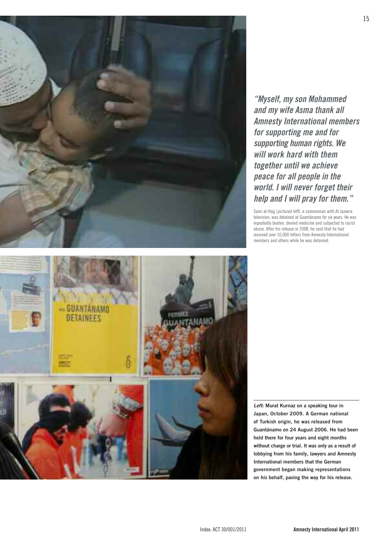

**"Myself, my son Mohammed and my wife Asma thank all Amnesty International members for supporting me and for supporting human rights. We will work hard with them together until we achieve peace for all people in the world. I will never forget their help and I will pray for them."**

Sami al-Hajj (pictured left), a cameraman with Al Jazeera television, was detained at Guantánamo for six years. He was repeatedly beaten, denied medicine and subjected to racist abuse. After his release in 2008, he said that he had received over 10,000 letters from Amnesty International members and others while he was detained.



**Left: Murat Kurnaz on a speaking tour in Japan, October 2009. A German national of Turkish origin, he was released from Guantánamo on 24 August 2006. He had been held there for four years and eight months without charge or trial. It was only as a result of lobbying from his family, lawyers and Amnesty International members that the German government began making representations on his behalf, paving the way for his release.**